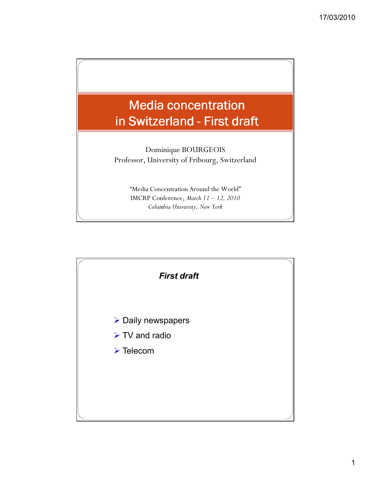

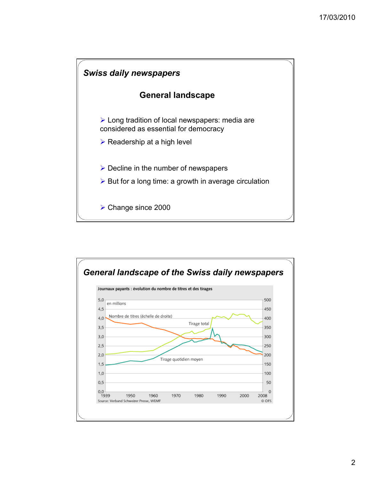

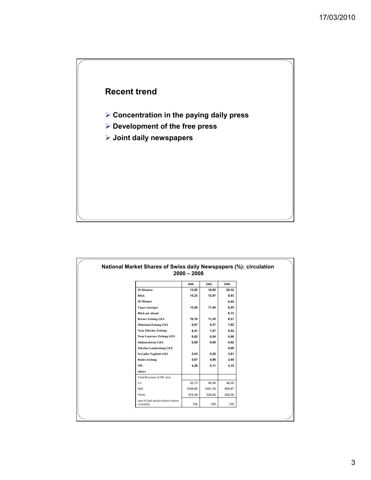

- **Concentration in the paying daily press**
- **Development of the free press**
- **Joint daily newspapers**

|                                    | 2000    | 2004    | 2008   |
|------------------------------------|---------|---------|--------|
| 20 Minuten                         | 13,95   | 18,82   | 20,32  |
| Blick                              | 15,33   | 12,97   | 8,93   |
| <b>20 Minutes</b>                  |         |         | 8,55   |
| Tages-Anzeiger                     | 13,29   | 11,44   | 8,25   |
| <b>Blick am Abend</b>              |         |         | 8,13   |
| <b>Berner Zeitung GES</b>          | 10,16   | 11,25   | 8,21   |
| <b>Mitteland Zeitung GES</b>       | 9,87    | 9,37    | 7,82   |
| Neue Zürcher Zeitung               | 8,41    | 7,47    | 5,52   |
| <b>Neue Luzerner Zeitung GES</b>   | 6,62    | 6,54    | 4,98   |
| Südostschweiz GES                  | 6,88    | 6,90    | 4,92   |
| Zürcher Landzeitung GES            |         |         | 4,00   |
| <b>St.Galler Tagblatt GES</b>      | 5,43    | 5,25    | 3.81   |
| <b>Basler Zeitung</b>              | 5,67    | 4,88    | 3,40   |
| 24 <sub>h</sub>                    | 4,38    | 5,11    | 3,15   |
| others                             |         |         |        |
| Total Revenues (CHF mio)           |         |         |        |
| C4                                 | 52,73   | 54,48   | 46,05  |
| HHI                                | 1049,69 | 1091,35 | 959,97 |
| Noam                               | 316,49  | 329,06  | 256,56 |
| sum of total market shares (others |         |         |        |
| excluded)                          | 100     | 100     | 100    |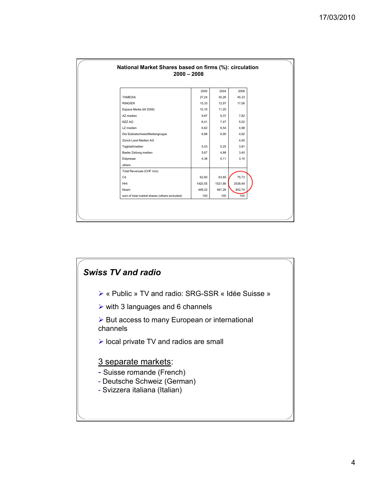|                                              | 2000    | 2004    | 2008    |
|----------------------------------------------|---------|---------|---------|
| <b>TAMEDIA</b>                               | 27,24   | 30,26   | 45,33   |
| <b>RINGIER</b>                               | 15,33   | 12,97   | 17,06   |
| Espace Media (till 2006)                     | 10,16   | 11,25   |         |
| AZ medien                                    | 9,87    | 9,37    | 7,82    |
| NZZ AG                                       | 8,41    | 7,47    | 5,52    |
| LZ medien                                    | 6,62    | 6,54    | 4,98    |
| Die SüdostschweizMediengruppe                | 6,88    | 6,90    | 4,92    |
| Zürich Land Medien AG                        |         |         | 4,00    |
| Tagblattmedien                               | 5,43    | 5,25    | 3,81    |
| Basler Zeitung medien                        | 5,67    | 4,88    | 3,40    |
| Edipresse                                    | 4,38    | 5,11    | 3, 15   |
| others                                       |         |         |         |
| Total Revenues (CHF mio)                     |         |         |         |
| C <sub>4</sub>                               | 62,60   | 63,85   | 75,73   |
| HHI                                          | 1420,55 | 1521,86 | 2538,49 |
| Noam                                         | 449,22  | 481,26  | 802,74  |
| sum of total market shares (others excluded) | 100     | 100     | 100     |

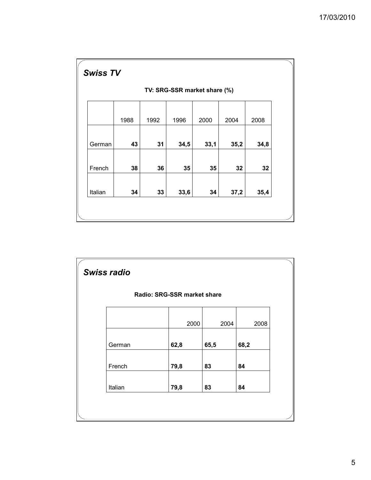|         | TV: SRG-SSR market share (%) |      |      |      |      |      |  |  |  |
|---------|------------------------------|------|------|------|------|------|--|--|--|
|         |                              |      |      |      |      |      |  |  |  |
|         | 1988                         | 1992 | 1996 | 2000 | 2004 | 2008 |  |  |  |
|         |                              |      |      |      |      |      |  |  |  |
| German  | 43                           | 31   | 34,5 | 33,1 | 35,2 | 34,8 |  |  |  |
|         |                              |      |      |      |      |      |  |  |  |
| French  | 38                           | 36   | 35   | 35   | 32   | 32   |  |  |  |
|         |                              |      |      |      |      |      |  |  |  |
| Italian | 34                           | 33   | 33,6 | 34   | 37,2 | 35,4 |  |  |  |

|         |        | Radio: SRG-SSR market share |      |      |      |      |
|---------|--------|-----------------------------|------|------|------|------|
|         |        |                             | 2000 | 2004 |      | 2008 |
|         | German | 62,8                        | 65,5 |      | 68,2 |      |
|         | French | 79,8                        | 83   |      | 84   |      |
| Italian |        | 79,8                        | 83   |      | 84   |      |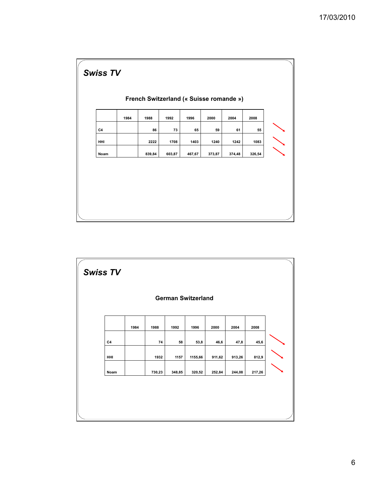|      | 1984 | 1988   | 1992   | 1996   | 2000   | 2004   | 2008   |
|------|------|--------|--------|--------|--------|--------|--------|
| C4   |      | 86     | 73     | 65     | 59     | 61     | 55     |
| HHI  |      | 2222   | 1708   | 1403   | 1240   | 1242   | 1083   |
| Noam |      | 839,84 | 603,87 | 467,67 | 373,87 | 374,48 | 326,54 |

| <b>Swiss TV</b> |      |        |        |                           |        |        |        |  |
|-----------------|------|--------|--------|---------------------------|--------|--------|--------|--|
|                 |      |        |        | <b>German Switzerland</b> |        |        |        |  |
|                 | 1984 | 1988   | 1992   | 1996                      | 2000   | 2004   | 2008   |  |
| C <sub>4</sub>  |      | 74     | 58     | 53,8                      | 46,6   | 47,8   | 45,6   |  |
| HHI             |      | 1932   | 1157   | 1155,66                   | 911,62 | 913,26 | 812,9  |  |
| Noam            |      | 730,23 | 348,85 | 320,52                    | 252,84 | 244,08 | 217,26 |  |
|                 |      |        |        |                           |        |        |        |  |
|                 |      |        |        |                           |        |        |        |  |
|                 |      |        |        |                           |        |        |        |  |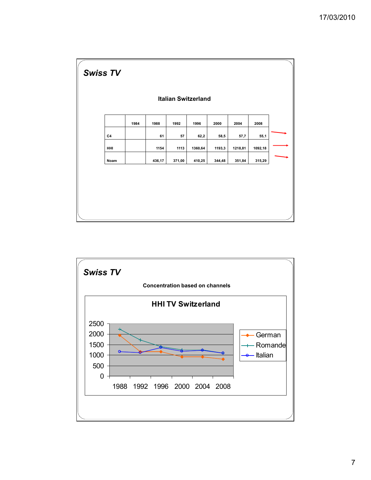

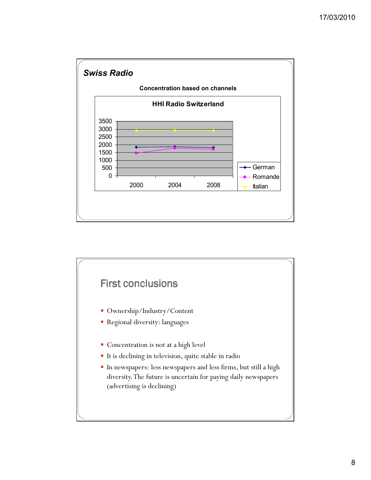